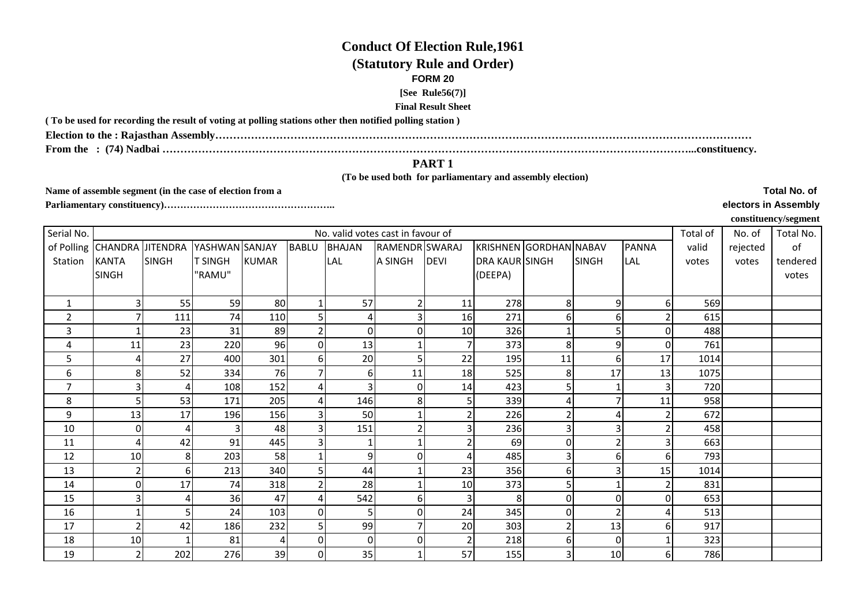## **Conduct Of Election Rule,1961**

## **(Statutory Rule and Order)**

#### **FORM 20**

#### **[See Rule56(7)]**

### **Final Result Sheet**

**( To be used for recording the result of voting at polling stations other then notified polling station )**

**Election to the : Rajasthan Assembly……………………………………………………………………………………………………………………………………**

**From the : (74) Nadbai …………………………………………………………………………………………………………………………………...constituency.**

# **PART 1**

 **(To be used both for parliamentary and assembly election)** 

**Name of assemble segment (in the case of election from a** 

**Parliamentary constituency)……………………………………………..** 

**Total No. of** 

#### **electors in Assembly**

**constituency/segment**

| Serial No.     | No. valid votes cast in favour of |              |                |              |                |                |                |             |                       |                         |              |              |       | No. of   | Total No. |
|----------------|-----------------------------------|--------------|----------------|--------------|----------------|----------------|----------------|-------------|-----------------------|-------------------------|--------------|--------------|-------|----------|-----------|
|                | of Polling CHANDRA JITENDRA       |              | YASHWAN SANJAY |              | <b>BABLU</b>   | <b>BHAJAN</b>  | RAMENDR SWARAJ |             |                       | KRISHNEN GORDHAN NABAV  |              | <b>PANNA</b> | valid | rejected | of        |
| Station        | <b>KANTA</b>                      | <b>SINGH</b> | <b>T SINGH</b> | <b>KUMAR</b> |                | LAL            | A SINGH        | <b>DEVI</b> | <b>DRA KAUR SINGH</b> |                         | <b>SINGH</b> | LAL          | votes | votes    | tendered  |
|                | <b>SINGH</b>                      |              | "RAMU"         |              |                |                |                |             | (DEEPA)               |                         |              |              |       |          | votes     |
|                |                                   |              |                |              |                |                |                |             |                       |                         |              |              |       |          |           |
| 1              |                                   | 55           | 59             | 80           | 1              | 57             | $\overline{2}$ | 11          | 278                   | 8                       | 91           | 6            | 569   |          |           |
| $\overline{2}$ |                                   | 111          | 74             | 110          | 5 <sup>1</sup> | 4              | 3              | 16          | 271                   | 61                      | 61           |              | 615   |          |           |
| 3              |                                   | 23           | 31             | 89           | $\overline{2}$ | 0              | 0              | 10          | 326                   |                         |              | $\Omega$     | 488   |          |           |
| 4              | 11                                | 23           | 220            | 96           | $\Omega$       | 13             |                |             | 373                   | 8 <sup>1</sup>          | 9            | 0            | 761   |          |           |
| 5              |                                   | 27           | 400            | 301          | 6              | 20             | 5 <sub>1</sub> | 22          | 195                   | 11                      | 6            | 17           | 1014  |          |           |
| 6              | 8                                 | 52           | 334            | 76           |                | $6 \mid$       | 11             | 18          | 525                   | 8 <sup>1</sup>          | 17           | 13           | 1075  |          |           |
| $\overline{7}$ |                                   |              | 108            | 152          | 4              |                | $\overline{0}$ | 14          | 423                   | 5 <sub>l</sub>          |              | 3            | 720   |          |           |
| 8              |                                   | 53           | 171            | 205          | 4              | 146            | 8 <sup>1</sup> |             | 339                   | 4                       |              | 11           | 958   |          |           |
| 9              | 13                                | 17           | 196            | 156          | $\overline{3}$ | 50             |                |             | 226                   | $\overline{2}$          |              |              | 672   |          |           |
| 10             | 0                                 |              | $\overline{3}$ | 48           | $\overline{3}$ | 151            | $\overline{2}$ |             | 236                   | $\overline{3}$          | 31           |              | 458   |          |           |
| 11             | 4                                 | 42           | 91             | 445          | 3              |                |                |             | 69                    | <sub>0</sub>            |              | 3            | 663   |          |           |
| 12             | 10                                |              | 203            | 58           | $\mathbf{1}$   | $\overline{9}$ | $\Omega$       |             | 485                   | $\overline{\mathsf{3}}$ | 61           | 6            | 793   |          |           |
| 13             |                                   |              | 213            | 340          | 5              | 44             |                | 23          | 356                   | 6                       |              | 15           | 1014  |          |           |
| 14             | O                                 | 17           | 74             | 318          | 2              | 28             |                | 10          | 373                   | 51                      |              |              | 831   |          |           |
| 15             |                                   |              | 36             | 47           | 4              | 542            | $6 \mid$       | 3           | 8                     | 01                      | 0            | $\Omega$     | 653   |          |           |
| 16             |                                   |              | 24             | 103          | $\Omega$       | 5 <sup>1</sup> | 0              | 24          | 345                   | οI                      |              |              | 513   |          |           |
| 17             |                                   | 42           | 186            | 232          | 5              | 99             | $\overline{7}$ | 20          | 303                   | $\overline{2}$          | 13           | 6            | 917   |          |           |
| 18             | 10                                |              | 81             | 4            | $\overline{0}$ | $\overline{0}$ | $\pmb{0}$      |             | 218                   | $6 \mid$                | 0            |              | 323   |          |           |
| 19             |                                   | 202          | 276            | 39           | $\overline{0}$ | 35             | $\mathbf{1}$   | 57          | 155                   | $\overline{\mathbf{3}}$ | 10           | 6            | 786   |          |           |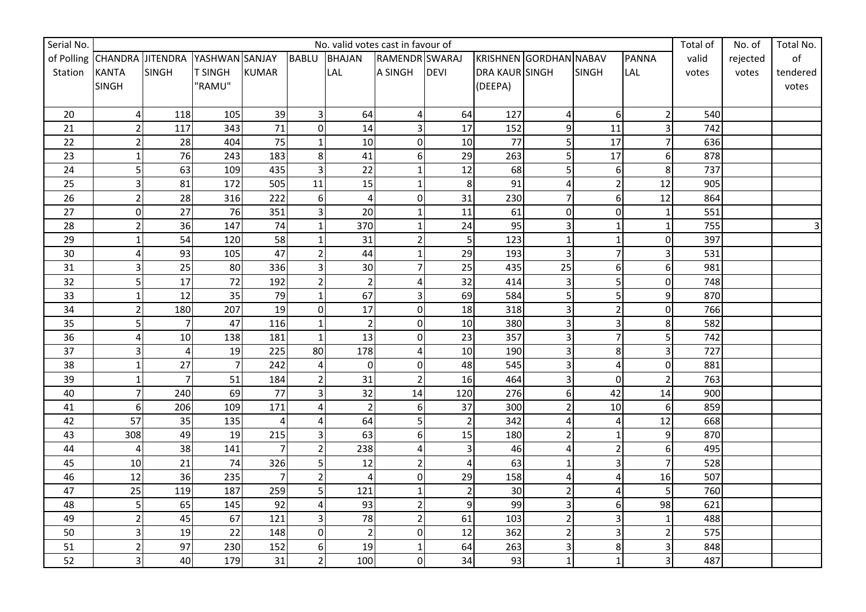| Serial No.      |                             | No. valid votes cast in favour of |                |                 |                |                 |                         |                |                        |                         |                  |                         | Total of | No. of   | Total No.               |
|-----------------|-----------------------------|-----------------------------------|----------------|-----------------|----------------|-----------------|-------------------------|----------------|------------------------|-------------------------|------------------|-------------------------|----------|----------|-------------------------|
|                 | of Polling CHANDRA JITENDRA |                                   | YASHWAN SANJAY |                 | <b>BABLU</b>   | <b>BHAJAN</b>   | RAMENDR SWARAJ          |                | KRISHNEN GORDHAN NABAV |                         |                  | <b>PANNA</b>            | valid    | rejected | o <sub>f</sub>          |
| Station         | <b>KANTA</b>                | <b>SINGH</b>                      | <b>T SINGH</b> | <b>KUMAR</b>    |                | <b>LAL</b>      | A SINGH                 | <b>DEVI</b>    | DRA KAUR SINGH         |                         | <b>SINGH</b>     | LAL                     | votes    | votes    | tendered                |
|                 | <b>SINGH</b>                |                                   | "RAMU"         |                 |                |                 |                         |                | (DEEPA)                |                         |                  |                         |          |          | votes                   |
|                 |                             |                                   |                |                 |                |                 |                         |                |                        |                         |                  |                         |          |          |                         |
| 20              | 4                           | 118                               | 105            | 39              | 3              | 64              | 4                       | 64             | 127                    | 4                       | $6 \overline{6}$ | 2                       | 540      |          |                         |
| 21              | $\overline{2}$              | 117                               | 343            | $\overline{71}$ | $\mathbf 0$    | 14              | 3                       | 17             | 152                    | 9                       | 11               | 3                       | 742      |          |                         |
| 22              | 2                           | 28                                | 404            | 75              | $\mathbf{1}$   | 10              | $\overline{0}$          | 10             | 77                     | 5                       | 17               | $\overline{7}$          | 636      |          |                         |
| 23              | 1                           | 76                                | 243            | 183             | 8              | 41              | 6                       | 29             | 263                    | 5                       | 17               | 6                       | 878      |          |                         |
| 24              | 5                           | 63                                | 109            | 435             | $\overline{3}$ | 22              | $\mathbf{1}$            | 12             | 68                     | 5                       | 6                | $\bf 8$                 | 737      |          |                         |
| 25              | 3                           | 81                                | 172            | 505             | 11             | 15              |                         | $\,8\,$        | 91                     | 4                       | $\overline{2}$   | 12                      | 905      |          |                         |
| 26              | $\overline{2}$              | 28                                | 316            | 222             | 6              | $\overline{4}$  | $\overline{0}$          | 31             | 230                    | $\overline{7}$          | 6                | 12                      | 864      |          |                         |
| 27              | $\overline{0}$              | 27                                | 76             | 351             | $\overline{3}$ | 20              | 1                       | 11             | 61                     | $\overline{0}$          | 0                | $\mathbf{1}$            | 551      |          |                         |
| 28              | $\overline{2}$              | 36                                | 147            | 74              | $\mathbf{1}$   | 370             | $\mathbf{1}$            | 24             | 95                     | 3                       | $\mathbf{1}$     | $\mathbf{1}$            | 755      |          | $\overline{\mathbf{3}}$ |
| 29              | $\mathbf{1}$                | 54                                | 120            | 58              | $\mathbf{1}$   | 31              | $\overline{\mathbf{c}}$ | 5              | 123                    | $\mathbf 1$             | $\mathbf{1}$     | $\overline{0}$          | 397      |          |                         |
| 30 <sup>°</sup> | 4                           | 93                                | 105            | 47              | 2              | 44              |                         | 29             | 193                    | $\mathbf{3}$            | 7                | $\overline{\mathbf{3}}$ | 531      |          |                         |
| 31              | 3                           | 25                                | 80             | 336             |                | 30              |                         | 25             | 435                    | 25                      | 6                | 6                       | 981      |          |                         |
| 32              | 5                           | 17                                | 72             | 192             | $\overline{2}$ | $\overline{2}$  | Δ                       | 32             | 414                    | $\overline{3}$          | 5                | $\overline{0}$          | 748      |          |                         |
| 33              | $\mathbf{1}$                | 12                                | 35             | 79              |                | 67              | 3                       | 69             | 584                    | 5 <sup>1</sup>          | 5                | 9                       | 870      |          |                         |
| 34              | $\overline{2}$              | 180                               | 207            | 19              | $\mathbf 0$    | 17              | $\overline{0}$          | 18             | 318                    | $\overline{\mathbf{3}}$ | $\overline{2}$   | $\mathbf 0$             | 766      |          |                         |
| 35              | 5                           | $\overline{7}$                    | 47             | 116             | $\mathbf{1}$   | $\overline{2}$  | $\overline{0}$          | 10             | 380                    | $\overline{\mathbf{3}}$ | 3                | 8                       | 582      |          |                         |
| 36              | 4                           | 10                                | 138            | 181             | $\mathbf{1}$   | 13              | $\overline{0}$          | 23             | 357                    | $\overline{\mathbf{3}}$ | $\overline{7}$   | 5                       | 742      |          |                         |
| 37              | 3                           | 4                                 | 19             | 225             | 80             | 178             | 4                       | 10             | 190                    | 3                       | 8                | 3                       | 727      |          |                         |
| 38              | 1                           | 27                                | $\overline{7}$ | 242             |                | 0               | $\mathbf 0$             | 48             | 545                    | $\overline{\mathbf{3}}$ | 4                | $\mathbf 0$             | 881      |          |                         |
| 39              | $\mathbf{1}$                | $\overline{7}$                    | 51             | 184             | $\overline{2}$ | 31              | $\overline{2}$          | 16             | 464                    | $\overline{3}$          | $\overline{0}$   | $\overline{2}$          | 763      |          |                         |
| 40              | 7                           | 240                               | 69             | 77              | 3              | $\overline{32}$ | 14                      | 120            | 276                    | $6 \mid$                | 42               | 14                      | 900      |          |                         |
| 41              | 6                           | 206                               | 109            | 171             | $\Delta$       | $\mathbf 2$     | 6                       | 37             | 300                    | $\overline{2}$          | 10               | 6                       | 859      |          |                         |
| 42              | 57                          | 35                                | 135            | 4               | Δ              | 64              | 5                       | $\overline{2}$ | 342                    | 4                       | 4                | 12                      | 668      |          |                         |
| 43              | 308                         | 49                                | 19             | 215             |                | 63              | 6                       | 15             | 180                    | $\overline{2}$          |                  | 9                       | 870      |          |                         |
| 44              | 4                           | 38                                | 141            |                 | $\overline{2}$ | 238             | Δ                       | 3              | 46                     | 4                       | $\overline{2}$   | 6                       | 495      |          |                         |
| 45              | 10                          | 21                                | 74             | 326             | 5              | 12              | $\overline{2}$          | 4              | 63                     | $\mathbf{1}$            | 3                | $\overline{7}$          | 528      |          |                         |
| 46              | 12                          | 36                                | 235            |                 | $\overline{2}$ | 4               | $\mathbf 0$             | 29             | 158                    | 4                       |                  | 16                      | 507      |          |                         |
| 47              | 25                          | 119                               | 187            | 259             | 5              | 121             | 1                       | $\overline{2}$ | 30                     | $\overline{2}$          |                  | 5                       | 760      |          |                         |
| 48              | 5                           | 65                                | 145            | 92              | $\Delta$       | 93              | $\overline{2}$          | 9              | 99                     | 3                       | 6                | 98                      | 621      |          |                         |
| 49              | $\overline{2}$              | 45                                | 67             | 121             | $\overline{3}$ | 78              | $\overline{2}$          | 61             | 103                    | $\overline{2}$          | 3                | $\mathbf{1}$            | 488      |          |                         |
| 50              | 3                           | 19                                | 22             | 148             | $\mathbf 0$    | $\overline{2}$  | $\mathbf 0$             | 12             | 362                    | $\overline{2}$          | 3                | $\overline{2}$          | 575      |          |                         |
| 51              | $\overline{2}$              | 97                                | 230            | 152             | 6              | 19              | $\mathbf{1}$            | 64             | 263                    | $\overline{\mathbf{3}}$ | 8                | $\overline{3}$          | 848      |          |                         |
| 52              | $\overline{3}$              | 40                                | 179            | 31              | $\overline{2}$ | 100             | $\overline{0}$          | 34             | 93                     | $\mathbf{1}$            | $\mathbf{1}$     | 3                       | 487      |          |                         |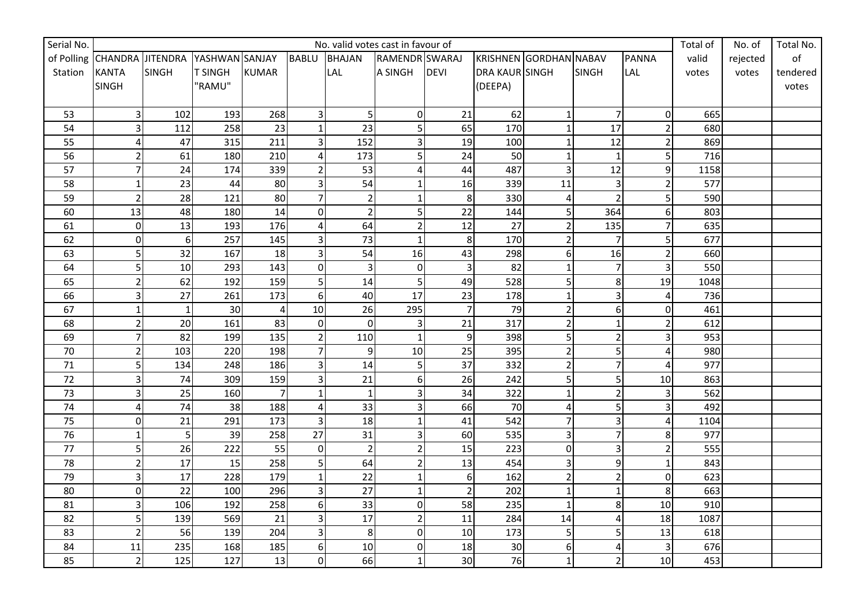| Serial No.      |                             | No. valid votes cast in favour of |                |                |                |                |                         |                  |                        |                |                |                | Total of | No. of   | Total No. |
|-----------------|-----------------------------|-----------------------------------|----------------|----------------|----------------|----------------|-------------------------|------------------|------------------------|----------------|----------------|----------------|----------|----------|-----------|
|                 | of Polling CHANDRA JITENDRA |                                   | YASHWAN SANJAY |                | <b>BABLU</b>   | <b>BHAJAN</b>  | RAMENDR SWARAJ          |                  | KRISHNEN GORDHAN NABAV |                |                | <b>PANNA</b>   | valid    | rejected | of        |
| Station         | <b>KANTA</b>                | <b>SINGH</b>                      | <b>T SINGH</b> | <b>KUMAR</b>   |                | <b>LAL</b>     | A SINGH                 | <b>DEVI</b>      | DRA KAUR SINGH         |                | <b>SINGH</b>   | LAL            | votes    | votes    | tendered  |
|                 | <b>SINGH</b>                |                                   | "RAMU"         |                |                |                |                         |                  | (DEEPA)                |                |                |                |          |          | votes     |
|                 |                             |                                   |                |                |                |                |                         |                  |                        |                |                |                |          |          |           |
| 53              | 3 <sup>1</sup>              | 102                               | 193            | 268            | $\overline{3}$ | $\overline{5}$ | 0                       | 21               | 62                     | $\mathbf 1$    | $\overline{7}$ | 0              | 665      |          |           |
| 54              | $\overline{3}$              | 112                               | 258            | 23             | $\overline{1}$ | 23             | $\mathsf{S}$            | 65               | 170                    | $\overline{1}$ | 17             | $\overline{2}$ | 680      |          |           |
| 55              | 4                           | 47                                | 315            | 211            | 3              | 152            | $\overline{\mathbf{3}}$ | 19               | 100                    | $\mathbf 1$    | 12             | $\overline{2}$ | 869      |          |           |
| 56              | $\overline{2}$              | 61                                | 180            | 210            | 4              | 173            | $\mathsf{S}$            | 24               | 50                     | $\mathbf 1$    | $\mathbf{1}$   | 5              | 716      |          |           |
| 57              | $\overline{7}$              | 24                                | 174            | 339            | $\overline{2}$ | 53             | 4                       | 44               | 487                    | $\overline{3}$ | 12             | 9              | 1158     |          |           |
| 58              | $\mathbf{1}$                | 23                                | 44             | 80             | $\overline{3}$ | 54             | $\mathbf{1}$            | 16               | 339                    | 11             | $\vert$ 3      | $\overline{2}$ | 577      |          |           |
| 59              | $\overline{2}$              | 28                                | 121            | 80             | $\overline{7}$ | $\mathbf 2$    | $\mathbf{1}$            | 8                | 330                    | $\overline{4}$ | $\overline{2}$ | 5              | 590      |          |           |
| 60              | 13                          | 48                                | 180            | 14             | $\Omega$       | $\overline{2}$ | 5 <sub>l</sub>          | 22               | 144                    | 5              | 364            | 6              | 803      |          |           |
| 61              | $\overline{0}$              | 13                                | 193            | 176            | 4              | 64             | $\overline{2}$          | 12               | 27                     | $\overline{2}$ | 135            | 7              | 635      |          |           |
| 62              | $\overline{0}$              | 6                                 | 257            | 145            | 3              | 73             | $\mathbf{1}$            | $\bf 8$          | 170                    | $\overline{2}$ | $\overline{7}$ | 5              | 677      |          |           |
| 63              | 5                           | 32                                | 167            | 18             | 3              | 54             | 16                      | 43               | 298                    | 6              | 16             | $\overline{2}$ | 660      |          |           |
| 64              | 5                           | $10\,$                            | 293            | 143            | $\Omega$       | 3              | <sub>0</sub>            | 3                | 82                     | $\mathbf{1}$   |                | 3              | 550      |          |           |
| 65              | $\overline{2}$              | 62                                | 192            | 159            | 5              | 14             | 5 <sup>1</sup>          | 49               | 528                    | 5              | 8              | 19             | 1048     |          |           |
| 66              | $\overline{3}$              | 27                                | 261            | 173            | 6              | 40             | 17                      | 23               | 178                    | $\mathbf 1$    | 3              | 4              | 736      |          |           |
| 67              | $\mathbf{1}$                | $\mathbf{1}$                      | 30             | 4              | 10             | 26             | 295                     | $\overline{7}$   | 79                     | $\overline{2}$ | 6 <sup>1</sup> | 0              | 461      |          |           |
| 68              | $\overline{2}$              | 20                                | 161            | 83             | $\Omega$       | $\pmb{0}$      | $\overline{3}$          | 21               | 317                    | $\overline{2}$ | 1              | $\overline{2}$ | 612      |          |           |
| 69              | 7                           | 82                                | 199            | 135            | $\overline{2}$ | 110            | $\mathbf{1}$            | $\boldsymbol{9}$ | 398                    | 5              | $\overline{2}$ | 3              | 953      |          |           |
| 70              | 2                           | 103                               | 220            | 198            | $\overline{7}$ | 9              | 10                      | 25               | 395                    | $\overline{2}$ | 5              | 4              | 980      |          |           |
| 71              | 5                           | 134                               | 248            | 186            | 3              | 14             | 5 <sup>1</sup>          | 37               | 332                    | $\overline{2}$ |                | 4              | 977      |          |           |
| 72              | $\overline{\mathbf{3}}$     | 74                                | 309            | 159            | 3              | 21             | $6 \mid$                | 26               | 242                    | 5              | 5              | $10\,$         | 863      |          |           |
| 73              | $\overline{3}$              | 25                                | 160            | $\overline{7}$ | $\mathbf{1}$   | $\mathbf 1$    | $\overline{3}$          | 34               | 322                    | $\mathbf 1$    | $\overline{2}$ | 3              | 562      |          |           |
| 74              | 4                           | $\overline{74}$                   | 38             | 188            | 4              | 33             | $\overline{3}$          | 66               | 70                     | $\overline{4}$ | 5              |                | 492      |          |           |
| 75              | $\overline{0}$              | 21                                | 291            | 173            | 3              | 18             | $\mathbf{1}$            | 41               | 542                    | $\overline{7}$ | 3              | 4              | 1104     |          |           |
| 76              | 1                           | 5                                 | 39             | 258            | 27             | 31             | $\overline{3}$          | 60               | 535                    | 3              |                | 8              | 977      |          |           |
| $\overline{77}$ | 5                           | 26                                | 222            | 55             | $\overline{0}$ | $\overline{2}$ | $\overline{2}$          | 15               | 223                    | $\mathbf 0$    | 31             |                | 555      |          |           |
| 78              | $\overline{2}$              | 17                                | 15             | 258            | 5              | 64             | $\overline{2}$          | 13               | 454                    | 3              | $\overline{9}$ |                | 843      |          |           |
| 79              | $\overline{\mathbf{3}}$     | 17                                | 228            | 179            | $\mathbf{1}$   | 22             | $\mathbf{1}$            | 6                | 162                    | $\overline{2}$ | 21             | 0              | 623      |          |           |
| 80              | $\overline{0}$              | 22                                | 100            | 296            | 3              | 27             | $\mathbf{1}$            | $\overline{2}$   | 202                    | $\mathbf 1$    |                | 8              | 663      |          |           |
| 81              | $\overline{3}$              | 106                               | 192            | 258            | 6              | 33             | $\overline{0}$          | 58               | 235                    | $\mathbf{1}$   | 8              | 10             | 910      |          |           |
| 82              | 5                           | 139                               | 569            | 21             | $\overline{3}$ | 17             | $\overline{2}$          | 11               | 284                    | 14             |                | 18             | 1087     |          |           |
| 83              | $\overline{2}$              | 56                                | 139            | 204            | $\overline{3}$ | $\,8\,$        | <sub>0</sub>            | 10               | 173                    | 5              | 5              | 13             | 618      |          |           |
| 84              | 11                          | 235                               | 168            | 185            | 6              | 10             | $\overline{0}$          | 18               | 30                     | 6              | 4              | 3              | 676      |          |           |
| 85              | 2 <sup>1</sup>              | 125                               | 127            | 13             | $\Omega$       | 66             | $\mathbf 1$             | 30               | 76                     | $\mathbf 1$    |                | 10             | 453      |          |           |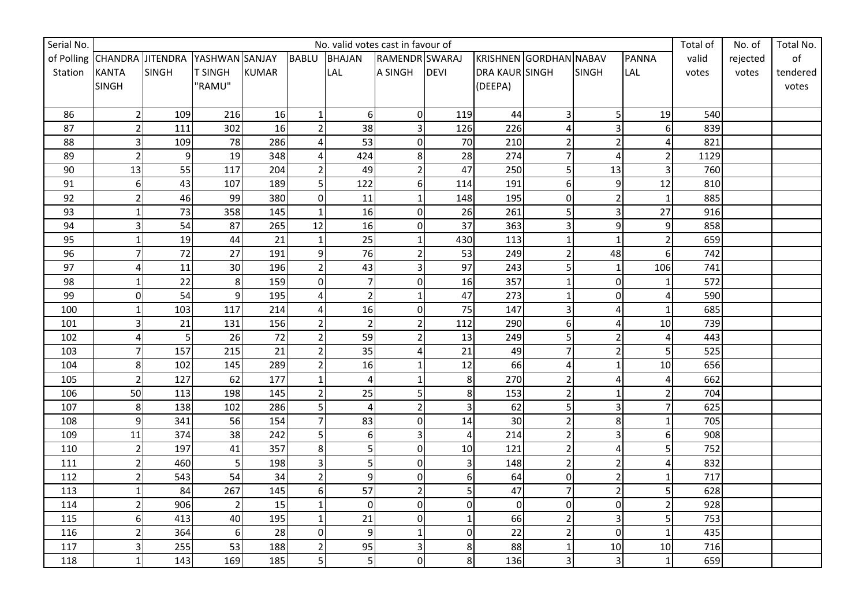| Serial No. |                             | No. valid votes cast in favour of |                |              |                |                |                |                |                        |                         |                |                | Total of | No. of   | Total No. |
|------------|-----------------------------|-----------------------------------|----------------|--------------|----------------|----------------|----------------|----------------|------------------------|-------------------------|----------------|----------------|----------|----------|-----------|
|            | of Polling CHANDRA JITENDRA |                                   | YASHWAN SANJAY |              | <b>BABLU</b>   | <b>BHAJAN</b>  | RAMENDR SWARAJ |                | KRISHNEN GORDHAN NABAV |                         |                | <b>PANNA</b>   | valid    | rejected | of        |
| Station    | <b>KANTA</b>                | <b>SINGH</b>                      | <b>T SINGH</b> | <b>KUMAR</b> |                | <b>LAL</b>     | A SINGH        | <b>DEVI</b>    | DRA KAUR SINGH         |                         | <b>SINGH</b>   | LAL            | votes    | votes    | tendered  |
|            | <b>SINGH</b>                |                                   | "RAMU"         |              |                |                |                |                | (DEEPA)                |                         |                |                |          |          | votes     |
|            |                             |                                   |                |              |                |                |                |                |                        |                         |                |                |          |          |           |
| 86         | 2                           | 109                               | 216            | 16           | $\mathbf{1}$   | $6\,$          | 0              | 119            | 44                     | $\overline{\mathbf{3}}$ | $\mathsf{S}$   | 19             | 540      |          |           |
| 87         | $\overline{2}$              | 111                               | 302            | 16           | $\overline{2}$ | 38             | $\overline{3}$ | 126            | 226                    | 4                       | 3              | 6              | 839      |          |           |
| 88         | $\overline{\mathbf{3}}$     | 109                               | 78             | 286          | Δ              | 53             | $\overline{0}$ | 70             | 210                    | $\overline{2}$          | $\overline{2}$ | 4              | 821      |          |           |
| 89         | $\overline{2}$              | 9                                 | 19             | 348          | 4              | 424            | 8 <sup>1</sup> | 28             | 274                    | $\overline{7}$          | 4              | $\overline{2}$ | 1129     |          |           |
| 90         | 13                          | 55                                | 117            | 204          | $\overline{2}$ | 49             | $\overline{2}$ | 47             | 250                    | 5                       | 13             | 3              | 760      |          |           |
| 91         | $6 \mid$                    | 43                                | 107            | 189          | 5              | 122            | $6 \mid$       | 114            | 191                    | 6                       | $\mathsf{g}$   | 12             | 810      |          |           |
| 92         | $\overline{2}$              | 46                                | 99             | 380          | $\mathbf 0$    | 11             | $\mathbf{1}$   | 148            | 195                    | $\mathbf 0$             |                |                | 885      |          |           |
| 93         | $\mathbf{1}$                | 73                                | 358            | 145          | $\mathbf{1}$   | 16             | <sub>0</sub>   | 26             | 261                    | 5                       | 31             | 27             | 916      |          |           |
| 94         | $\overline{3}$              | 54                                | 87             | 265          | 12             | 16             | $\overline{0}$ | 37             | 363                    | 3                       | $\overline{9}$ | 9              | 858      |          |           |
| 95         | $\mathbf{1}$                | 19                                | 44             | 21           | $\mathbf{1}$   | 25             | $\mathbf{1}$   | 430            | 113                    | $\mathbf{1}$            | $\mathbf{1}$   |                | 659      |          |           |
| 96         | $\overline{7}$              | 72                                | 27             | 191          | 9              | 76             | $\overline{2}$ | 53             | 249                    | $\overline{c}$          | 48             | 6              | 742      |          |           |
| 97         | 4                           | 11                                | 30             | 196          | $\overline{2}$ | 43             | $\overline{3}$ | 97             | 243                    | 5                       |                | 106            | 741      |          |           |
| 98         | 1                           | 22                                | 8              | 159          | $\Omega$       | $\overline{7}$ | <sub>0</sub>   | 16             | 357                    | $\mathbf 1$             | 0              |                | 572      |          |           |
| 99         | $\overline{0}$              | 54                                | $\overline{9}$ | 195          | $\Delta$       | $\mathbf 2$    | $\mathbf{1}$   | 47             | 273                    | $\mathbf 1$             | $\overline{0}$ | 4              | 590      |          |           |
| 100        | 1                           | 103                               | 117            | 214          | 4              | 16             | <sub>0</sub>   | 75             | 147                    | 3                       | 4              | 1              | 685      |          |           |
| 101        | 3                           | 21                                | 131            | 156          | $\overline{2}$ | $\overline{2}$ | $\overline{2}$ | 112            | 290                    | 6                       | Δ              | 10             | 739      |          |           |
| 102        | 4                           | 5                                 | 26             | 72           | $\overline{2}$ | 59             | 2              | 13             | 249                    | 5                       |                | 4              | 443      |          |           |
| 103        | 7                           | 157                               | 215            | 21           | $\overline{2}$ | 35             | 4              | 21             | 49                     | $\overline{7}$          |                | 5              | 525      |          |           |
| 104        | 8                           | 102                               | 145            | 289          | $\overline{2}$ | 16             | 1              | 12             | 66                     | $\overline{4}$          |                | 10             | 656      |          |           |
| 105        | $\overline{2}$              | 127                               | 62             | 177          | $\mathbf{1}$   | $\overline{4}$ | $\mathbf{1}$   | $\bf 8$        | 270                    | $\overline{2}$          |                | 4              | 662      |          |           |
| 106        | 50                          | 113                               | 198            | 145          | $\overline{2}$ | 25             | 5 <sup>1</sup> | 8              | 153                    | $\overline{c}$          |                | 2              | 704      |          |           |
| 107        | 8 <sup>1</sup>              | 138                               | 102            | 286          | 5              | $\pmb{4}$      | $\overline{2}$ | 3              | 62                     | 5                       |                |                | 625      |          |           |
| 108        | $\overline{9}$              | 341                               | 56             | 154          | $\overline{7}$ | 83             | $\overline{0}$ | 14             | 30                     | $\overline{c}$          | 8              |                | 705      |          |           |
| 109        | 11                          | 374                               | 38             | 242          | 5              | $6\,$          | $\overline{3}$ | 4              | 214                    | $\overline{2}$          | 3              | 6              | 908      |          |           |
| 110        | $\overline{2}$              | 197                               | 41             | 357          | 8              | 5              | $\overline{0}$ | 10             | 121                    | $\overline{\mathbf{c}}$ | 4              | 5              | 752      |          |           |
| 111        | $\overline{2}$              | 460                               | 5 <sup>1</sup> | 198          | 3              | 5              | $\overline{0}$ | 3              | 148                    | $\overline{2}$          | $\mathsf{2}$   | 4              | 832      |          |           |
| 112        | $\overline{2}$              | 543                               | 54             | 34           | $\overline{2}$ | $\overline{9}$ | $\overline{0}$ | 6              | 64                     | $\pmb{0}$               | 21             |                | 717      |          |           |
| 113        | 1                           | 84                                | 267            | 145          | 6              | 57             | $\overline{2}$ | 5              | 47                     | $\overline{7}$          | $\overline{2}$ | 5              | 628      |          |           |
| 114        | $\overline{2}$              | 906                               | 2              | 15           | $\mathbf{1}$   | $\mathbf 0$    | $\overline{0}$ | $\overline{0}$ | $\Omega$               | $\mathbf 0$             | $\Omega$       | $\overline{2}$ | 928      |          |           |
| 115        | 6                           | 413                               | 40             | 195          | $\mathbf{1}$   | 21             | $\overline{0}$ | $\mathbf{1}$   | 66                     | $\overline{2}$          | 31             | 5              | 753      |          |           |
| 116        | $\overline{2}$              | 364                               | $6 \mid$       | 28           | $\Omega$       | $\overline{9}$ | $\mathbf{1}$   | $\mathbf 0$    | 22                     | $\overline{2}$          | $\overline{0}$ |                | 435      |          |           |
| 117        | $\overline{3}$              | 255                               | 53             | 188          | $\overline{2}$ | 95             | $\overline{3}$ | 8              | 88                     | $\mathbf 1$             | 10             | $10\,$         | 716      |          |           |
| 118        | $\mathbf{1}$                | 143                               | 169            | 185          | 5              | 5              | $\overline{0}$ | 8              | 136                    | 3                       | 3              | 1              | 659      |          |           |